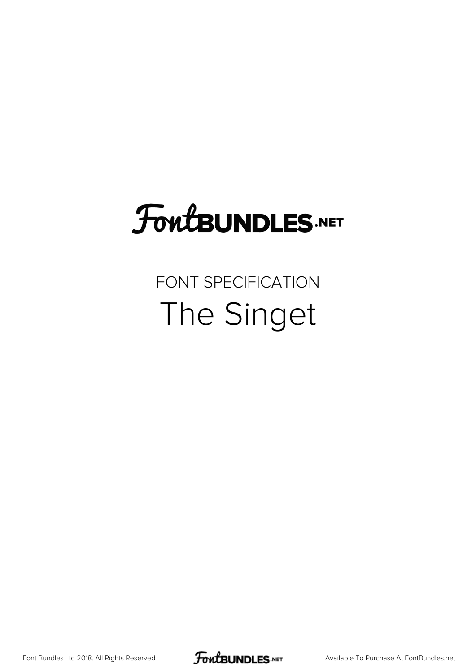## **FoutBUNDLES.NET**

## FONT SPECIFICATION The Singet

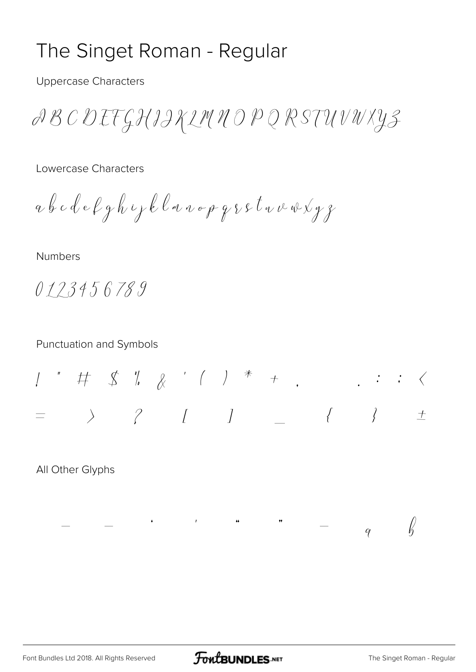## The Singet Roman - Regular

**Uppercase Characters** 

ABC DEFGHIIKLMNOP Q RSTUVWXYZ

Lowercase Characters

abcdefghipklanopqsstvavxyz

Numbers

0123456789

**Punctuation and Symbols** 

 $\begin{array}{ccccccccccccccccc}\n\end{array}$  $\overline{+}$  $\equiv$ 

 $\frac{1}{2}$  and  $\frac{1}{2}$  and  $\frac{1}{2}$  and  $\frac{1}{2}$  and  $\frac{1}{2}$  and  $\frac{1}{2}$  and  $\frac{1}{2}$  and  $\frac{1}{2}$  and  $\frac{1}{2}$  and  $\frac{1}{2}$  and  $\frac{1}{2}$  and  $\frac{1}{2}$  and  $\frac{1}{2}$  and  $\frac{1}{2}$  and  $\frac{1}{2}$  and  $\frac{1}{2}$  a

All Other Glyphs

 $\sqrt{k}$ 

 $\dot{q}$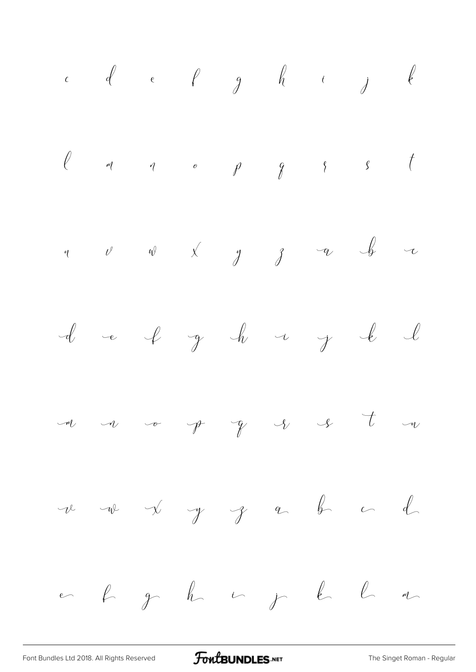[Font Bundles Ltd 2018. All Rights Reserved](https://fontbundles.net/) **FoutBUNDLES.NET** [The Singet Roman - Regular](https://fontbundles.net/)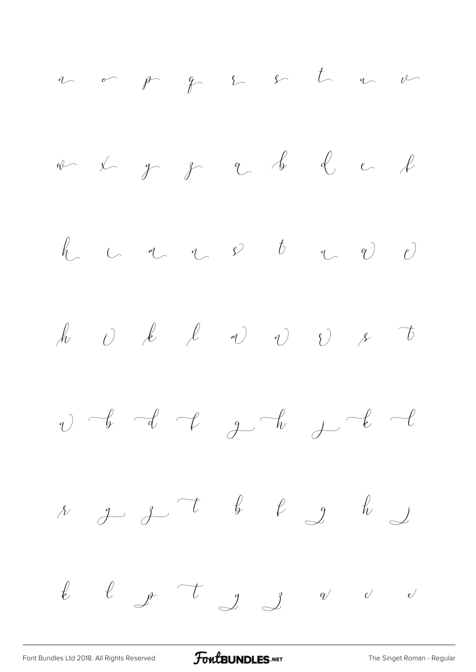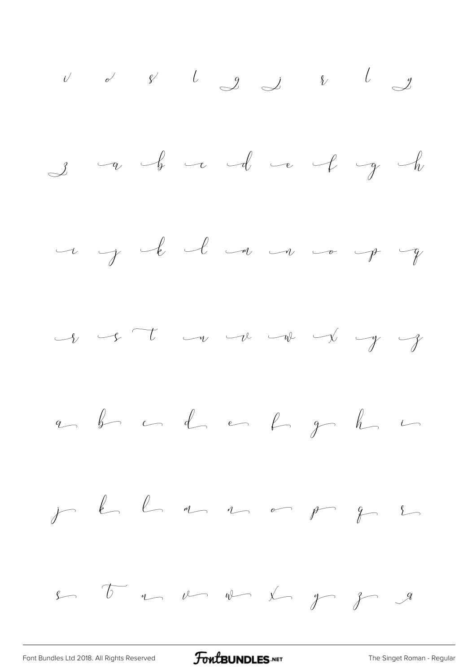

[Font Bundles Ltd 2018. All Rights Reserved](https://fontbundles.net/) **FoutBUNDLES.NET** [The Singet Roman - Regular](https://fontbundles.net/)